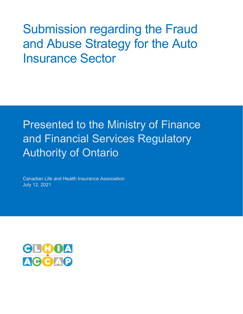Submission regarding the Fraud and Abuse Strategy for the Auto Insurance Sector

# Presented to the Ministry of Finance and Financial Services Regulatory Authority of Ontario

Canadian Life and Health Insurance Association July 12, 2021

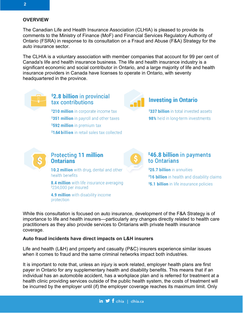#### **OVERVIEW**

The Canadian Life and Health Insurance Association (CLHIA) is pleased to provide its comments to the Ministry of Finance (MoF) and Financial Services Regulatory Authority of Ontario (FSRA) in response to its consultation on a Fraud and Abuse (F&A) Strategy for the auto insurance sector.

The CLHIA is a voluntary association with member companies that account for 99 per cent of Canada's life and health insurance business. The life and health insurance industry is a significant economic and social contributor in Ontario, and a large majority of life and health insurance providers in Canada have licenses to operate in Ontario, with seventy headquartered in the province.



# \$2.8 billion in provincial tax contributions

\$210 million in corporate income tax \$351 million in payroll and other taxes \$592 million in premium tax \$1.64 billion in retail sales tax collected



## **Investing in Ontario**

\$337 billion in total invested assets 98% held in long-term investments



# **Protecting 11 million Ontarians**

10.2 million with drug, dental and other health benefits

8.4 million with life insurance averaging \$234,000 per insured

4.9 million with disability income protection



# \$46.8 billion in payments to Ontarians

\$25.7 billion in annuities \$16 billion in health and disability claims \$5.1 billion in life insurance policies

While this consultation is focused on auto insurance, development of the F&A Strategy is of importance to life and health insurers—particularly any changes directly related to health care practitioners as they also provide services to Ontarians with private health insurance coverage.

#### **Auto fraud incidents have direct impacts on L&H insurers**

Life and health (L&H) and property and casualty (P&C) insurers experience similar issues when it comes to fraud and the same criminal networks impact both industries.

It is important to note that, unless an injury is work related, employer health plans are first payer in Ontario for any supplementary health and disability benefits. This means that if an individual has an automobile accident, has a workplace plan and is referred for treatment at a health clinic providing services outside of the public health system, the costs of treatment will be incurred by the employer until (if) the employer coverage reaches its maximum limit. Only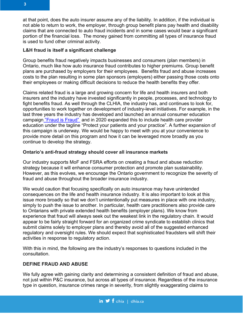at that point, does the auto insurer assume any of the liability. In addition, if the individual is not able to return to work, the employer, through group benefit plans pay health and disability claims that are connected to auto fraud incidents and in some cases would bear a significant portion of the financial loss. The money gained from committing all types of insurance fraud is used to fund other criminal activity.

#### **L&H fraud is itself a significant challenge**

Group benefits fraud negatively impacts businesses and consumers (plan members) in Ontario, much like how auto insurance fraud contributes to higher premiums. Group benefit plans are purchased by employers for their employees. Benefits fraud and abuse increases costs to the plan resulting in some plan sponsors (employers) either passing those costs onto their employees or making difficult decisions to reduce the health benefits they offer.

Claims related fraud is a large and growing concern for life and health insurers and both insurers and the industry have invested significantly in people, processes, and technology to fight benefits fraud. As well through the CLHIA, the industry has, and continues to look for, opportunities to work together on development of industry-level initiatives. For example, in the last three years the industry has developed and launched an annual consumer education campaign ["Fraud is Fraud"](https://fraudisfraud.ca/) and in 2020 expanded this to include health care provider education under the tagline "Protect your patients and your practice". A further expansion of this campaign is underway. We would be happy to meet with you at your convenience to provide more detail on this program and how it can be leveraged more broadly as you continue to develop the strategy.

## **Ontario's anti-fraud strategy should cover all insurance markets**

Our industry supports MoF and FSRA efforts on creating a fraud and abuse reduction strategy because it will enhance consumer protection and promote plan sustainability. However, as this evolves, we encourage the Ontario government to recognize the severity of fraud and abuse throughout the broader insurance industry.

We would caution that focusing specifically on auto insurance may have unintended consequences on the life and health insurance industry. It is also important to look at this issue more broadly so that we don't unintentionally put measures in place with one industry, simply to push the issue to another. In particular, health care practitioners also provide care to Ontarians with private extended health benefits (employer plans). We know from experience that fraud will always seek out the weakest link in the regulatory chain. It would appear to be fairly straight forward for an organized crime syndicate to establish clinics that submit claims solely to employer plans and thereby avoid all of the suggested enhanced regulatory and oversight rules. We should expect that sophisticated fraudsters will shift their activities in response to regulatory action.

With this in mind, the following are the industry's responses to questions included in the consultation.

## **DEFINE FRAUD AND ABUSE**

We fully agree with gaining clarity and determining a consistent definition of fraud and abuse, not just within P&C insurance, but across all types of insurance. Regardless of the insurance type in question, insurance crimes range in severity, from slightly exaggerating claims to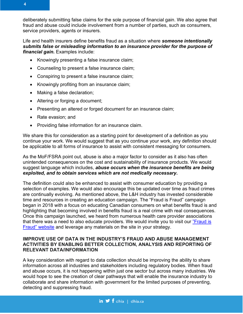

4

deliberately submitting false claims for the sole purpose of financial gain. We also agree that fraud and abuse could include involvement from a number of parties, such as consumers, service providers, agents or insurers.

Life and health insurers define benefits fraud as a situation where *someone intentionally submits false or misleading information to an insurance provider for the purpose of financial gain.* Examples include:

- Knowingly presenting a false insurance claim;
- Counseling to present a false insurance claim;
- Conspiring to present a false insurance claim;
- Knowingly profiting from an insurance claim;
- Making a false declaration;
- Altering or forging a document;
- Presenting an altered or forged document for an insurance claim;
- Rate evasion; and
- Providing false information for an insurance claim.

We share this for consideration as a starting point for development of a definition as you continue your work. We would suggest that as you continue your work, any definition should be applicable to all forms of insurance to assist with consistent messaging for consumers.

As the MoF/FSRA point out, abuse is also a major factor to consider as it also has often unintended consequences on the cost and sustainability of insurance products. We would suggest language which includes, *abuse occurs when the insurance benefits are being exploited, and to obtain services which are not medically necessary***.**

The definition could also be enhanced to assist with consumer education by providing a selection of examples. We would also encourage this be updated over time as fraud crimes are continually evolving. As mentioned above, the L&H industry has invested considerable time and resources in creating an education campaign. The "Fraud is Fraud" campaign began in 2018 with a focus on educating Canadian consumers on what benefits fraud is and highlighting that becoming involved in benefits fraud is a real crime with real consequences. Once this campaign launched, we heard from numerous health care provider associations that there was a need to also educate providers. We would invite you to visit our ["Fraud is](https://fraudisfraud.ca/)  [Fraud" website](https://fraudisfraud.ca/) and leverage any materials on the site in your strategy.

#### **IMPROVE USE OF DATA IN THE INDUSTRY'S FRAUD AND ABUSE MANAGEMENT ACTIVITIES BY ENABLING BETTER COLLECTION, ANALYSIS AND REPORTING OF RELEVANT DATA/INFORMATION**

A key consideration with regard to data collection should be improving the ability to share information across all industries and stakeholders including regulatory bodies. When fraud and abuse occurs, it is not happening within just one sector but across many industries. We would hope to see the creation of clear pathways that will enable the insurance industry to collaborate and share information with government for the limited purposes of preventing, detecting and suppressing fraud.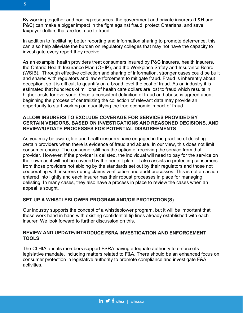In addition to facilitating better reporting and information sharing to promote deterrence, this can also help alleviate the burden on regulatory colleges that may not have the capacity to investigate every report they receive.

As an example, health providers treat consumers insured by P&C insurers, health insurers, the Ontario Health Insurance Plan (OHIP), and the Workplace Safety and Insurance Board (WSIB). Through effective collection and sharing of information, stronger cases could be built and shared with regulators and law enforcement to mitigate fraud. Fraud is inherently about deception, so it is difficult to quantify on a broad level the cost of fraud. As an industry it is estimated that hundreds of millions of health care dollars are lost to fraud which results in higher costs for everyone. Once a consistent definition of fraud and abuse is agreed upon, beginning the process of centralizing the collection of relevant data may provide an opportunity to start working on quantifying the true economic impact of fraud.

#### **ALLOW INSURERS TO EXCLUDE COVERAGE FOR SERVICES PROVIDED BY CERTAIN VENDORS, BASED ON INVESTIGATIONS AND REASONED DECISIONS, AND REVIEW/UPDATE PROCESSES FOR POTENTIAL DISAGREEMENTS**

As you may be aware, life and health insurers have engaged in the practice of delisting certain providers when there is evidence of fraud and abuse. In our view, this does not limit consumer choice. The consumer still has the option of receiving the service from that provider. However, if the provider is delisted, the individual will need to pay for the service on their own as it will not be covered by the benefit plan. It also assists in protecting consumers from those providers not abiding by the standards set out by their regulators and those not cooperating with insurers during claims verification and audit processes. This is not an action entered into lightly and each insurer has their robust processes in place for managing delisting. In many cases, they also have a process in place to review the cases when an appeal is sought.

## **SET UP A WHISTLEBLOWER PROGRAM AND/OR PROTECTION(S)**

Our industry supports the concept of a whistleblower program, but it will be important that these work hand in hand with existing confidential tip lines already established with each insurer. We look forward to further discussion on this.

#### **REVIEW AND UPDATE/INTRODUCE FSRA INVESTIGATION AND ENFORCEMENT TOOLS**

The CLHIA and its members support FSRA having adequate authority to enforce its legislative mandate, including matters related to F&A. There should be an enhanced focus on consumer protection in legislative authority to promote compliance and investigate F&A activities.